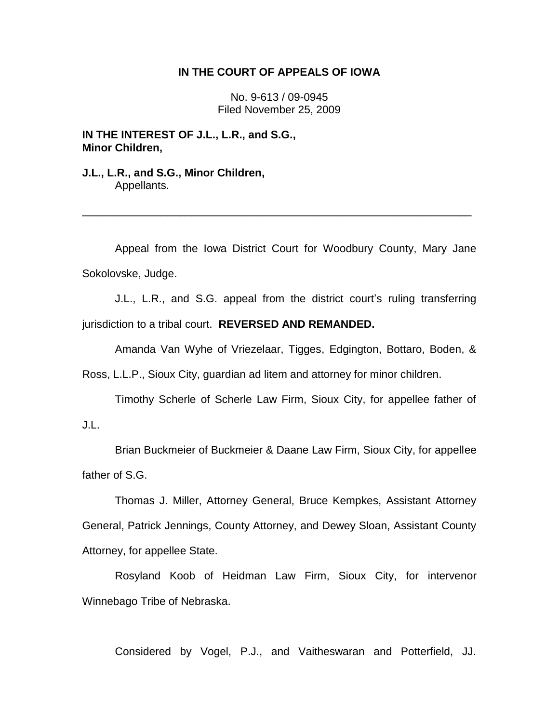## **IN THE COURT OF APPEALS OF IOWA**

No. 9-613 / 09-0945 Filed November 25, 2009

**IN THE INTEREST OF J.L., L.R., and S.G., Minor Children,**

**J.L., L.R., and S.G., Minor Children,** Appellants.

Appeal from the Iowa District Court for Woodbury County, Mary Jane Sokolovske, Judge.

\_\_\_\_\_\_\_\_\_\_\_\_\_\_\_\_\_\_\_\_\_\_\_\_\_\_\_\_\_\_\_\_\_\_\_\_\_\_\_\_\_\_\_\_\_\_\_\_\_\_\_\_\_\_\_\_\_\_\_\_\_\_\_\_

J.L., L.R., and S.G. appeal from the district court's ruling transferring jurisdiction to a tribal court. **REVERSED AND REMANDED.**

Amanda Van Wyhe of Vriezelaar, Tigges, Edgington, Bottaro, Boden, &

Ross, L.L.P., Sioux City, guardian ad litem and attorney for minor children.

Timothy Scherle of Scherle Law Firm, Sioux City, for appellee father of J.L.

Brian Buckmeier of Buckmeier & Daane Law Firm, Sioux City, for appellee father of S.G.

Thomas J. Miller, Attorney General, Bruce Kempkes, Assistant Attorney General, Patrick Jennings, County Attorney, and Dewey Sloan, Assistant County Attorney, for appellee State.

Rosyland Koob of Heidman Law Firm, Sioux City, for intervenor Winnebago Tribe of Nebraska.

Considered by Vogel, P.J., and Vaitheswaran and Potterfield, JJ.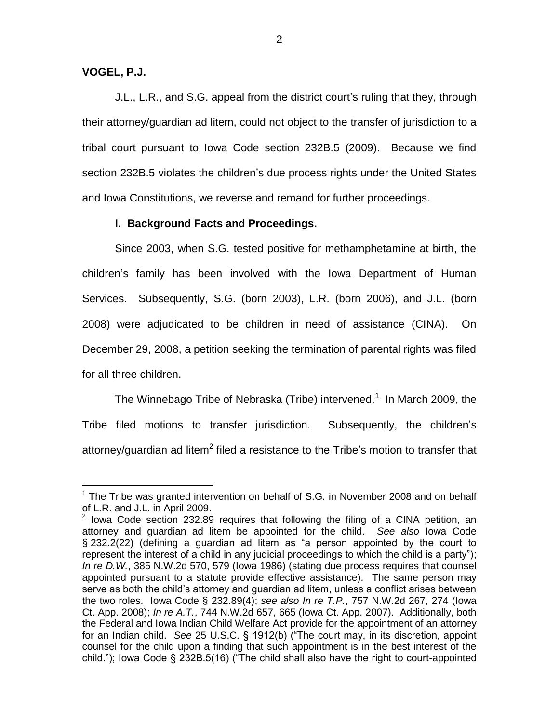# **VOGEL, P.J.**

 $\overline{a}$ 

J.L., L.R., and S.G. appeal from the district court"s ruling that they, through their attorney/guardian ad litem, could not object to the transfer of jurisdiction to a tribal court pursuant to Iowa Code section 232B.5 (2009). Because we find section 232B.5 violates the children"s due process rights under the United States and Iowa Constitutions, we reverse and remand for further proceedings.

## **I. Background Facts and Proceedings.**

Since 2003, when S.G. tested positive for methamphetamine at birth, the children"s family has been involved with the Iowa Department of Human Services. Subsequently, S.G. (born 2003), L.R. (born 2006), and J.L. (born 2008) were adjudicated to be children in need of assistance (CINA). On December 29, 2008, a petition seeking the termination of parental rights was filed for all three children.

The Winnebago Tribe of Nebraska (Tribe) intervened.<sup>1</sup> In March 2009, the Tribe filed motions to transfer jurisdiction. Subsequently, the children"s attorney/guardian ad litem<sup>2</sup> filed a resistance to the Tribe's motion to transfer that

 $<sup>1</sup>$  The Tribe was granted intervention on behalf of S.G. in November 2008 and on behalf</sup> of L.R. and J.L. in April 2009.

 $2$  lowa Code section 232.89 requires that following the filing of a CINA petition, an attorney and guardian ad litem be appointed for the child. *See also* Iowa Code § 232.2(22) (defining a guardian ad litem as "a person appointed by the court to represent the interest of a child in any judicial proceedings to which the child is a party"); *In re D.W.*, 385 N.W.2d 570, 579 (Iowa 1986) (stating due process requires that counsel appointed pursuant to a statute provide effective assistance). The same person may serve as both the child"s attorney and guardian ad litem, unless a conflict arises between the two roles. Iowa Code § 232.89(4); *see also In re T.P.*, 757 N.W.2d 267, 274 (Iowa Ct. App. 2008); *In re A.T.*, 744 N.W.2d 657, 665 (Iowa Ct. App. 2007). Additionally, both the Federal and Iowa Indian Child Welfare Act provide for the appointment of an attorney for an Indian child. *See* 25 U.S.C. § 1912(b) ("The court may, in its discretion, appoint counsel for the child upon a finding that such appointment is in the best interest of the child."); Iowa Code § 232B.5(16) ("The child shall also have the right to court-appointed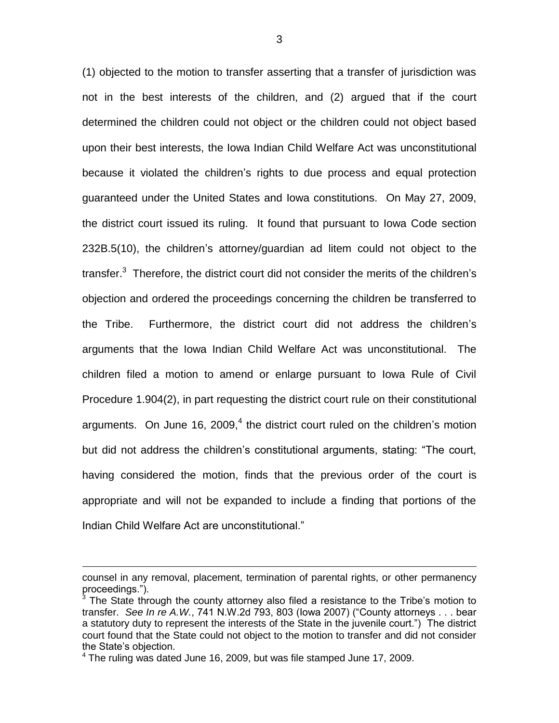(1) objected to the motion to transfer asserting that a transfer of jurisdiction was not in the best interests of the children, and (2) argued that if the court determined the children could not object or the children could not object based upon their best interests, the Iowa Indian Child Welfare Act was unconstitutional because it violated the children"s rights to due process and equal protection guaranteed under the United States and Iowa constitutions. On May 27, 2009, the district court issued its ruling. It found that pursuant to Iowa Code section 232B.5(10), the children"s attorney/guardian ad litem could not object to the transfer. $3$  Therefore, the district court did not consider the merits of the children's objection and ordered the proceedings concerning the children be transferred to the Tribe. Furthermore, the district court did not address the children"s arguments that the Iowa Indian Child Welfare Act was unconstitutional. The children filed a motion to amend or enlarge pursuant to Iowa Rule of Civil Procedure 1.904(2), in part requesting the district court rule on their constitutional arguments. On June 16, 2009,<sup>4</sup> the district court ruled on the children's motion but did not address the children"s constitutional arguments, stating: "The court, having considered the motion, finds that the previous order of the court is appropriate and will not be expanded to include a finding that portions of the Indian Child Welfare Act are unconstitutional."

 $\overline{a}$ 

counsel in any removal, placement, termination of parental rights, or other permanency proceedings.").

 $3$  The State through the county attorney also filed a resistance to the Tribe's motion to transfer. *See In re A.W.*, 741 N.W.2d 793, 803 (Iowa 2007) ("County attorneys . . . bear a statutory duty to represent the interests of the State in the juvenile court.") The district court found that the State could not object to the motion to transfer and did not consider the State's objection.

<sup>4</sup> The ruling was dated June 16, 2009, but was file stamped June 17, 2009.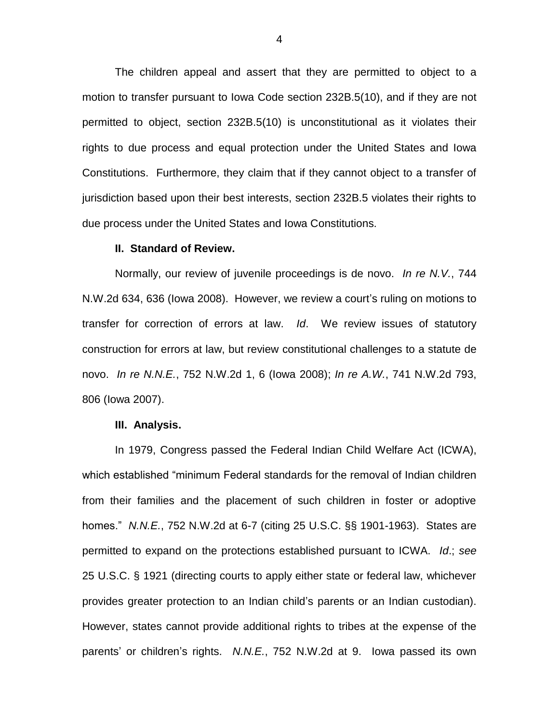The children appeal and assert that they are permitted to object to a motion to transfer pursuant to Iowa Code section 232B.5(10), and if they are not permitted to object, section 232B.5(10) is unconstitutional as it violates their rights to due process and equal protection under the United States and Iowa Constitutions. Furthermore, they claim that if they cannot object to a transfer of jurisdiction based upon their best interests, section 232B.5 violates their rights to due process under the United States and Iowa Constitutions.

#### **II. Standard of Review.**

Normally, our review of juvenile proceedings is de novo. *In re N.V.*, 744 N.W.2d 634, 636 (Iowa 2008). However, we review a court"s ruling on motions to transfer for correction of errors at law. *Id*. We review issues of statutory construction for errors at law, but review constitutional challenges to a statute de novo. *In re N.N.E.*, 752 N.W.2d 1, 6 (Iowa 2008); *In re A.W.*, 741 N.W.2d 793, 806 (Iowa 2007).

#### **III. Analysis.**

In 1979, Congress passed the Federal Indian Child Welfare Act (ICWA), which established "minimum Federal standards for the removal of Indian children from their families and the placement of such children in foster or adoptive homes." *N.N.E.*, 752 N.W.2d at 6-7 (citing 25 U.S.C. §§ 1901-1963). States are permitted to expand on the protections established pursuant to ICWA. *Id*.; *see* 25 U.S.C. § 1921 (directing courts to apply either state or federal law, whichever provides greater protection to an Indian child"s parents or an Indian custodian). However, states cannot provide additional rights to tribes at the expense of the parents" or children"s rights. *N.N.E.*, 752 N.W.2d at 9. Iowa passed its own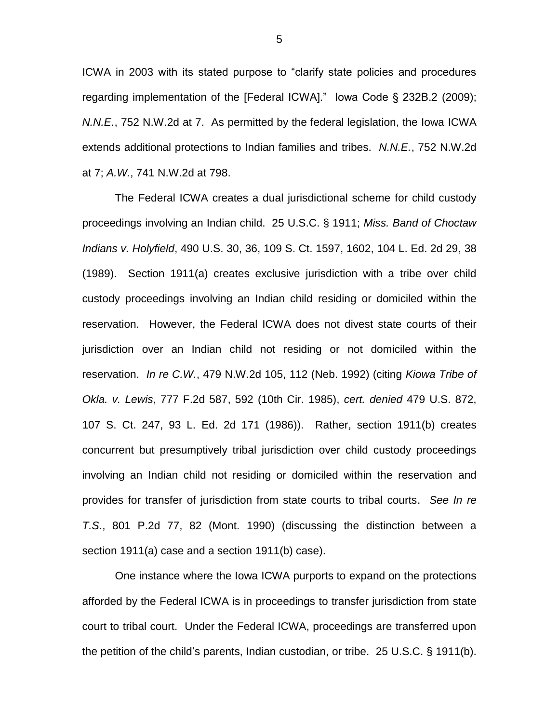ICWA in 2003 with its stated purpose to "clarify state policies and procedures regarding implementation of the [Federal ICWA]." Iowa Code § 232B.2 (2009); *N.N.E.*, 752 N.W.2d at 7. As permitted by the federal legislation, the Iowa ICWA extends additional protections to Indian families and tribes. *N.N.E.*, 752 N.W.2d at 7; *A.W.*, 741 N.W.2d at 798.

The Federal ICWA creates a dual jurisdictional scheme for child custody proceedings involving an Indian child. 25 U.S.C. § 1911; *Miss. Band of Choctaw Indians v. Holyfield*, 490 U.S. 30, 36, 109 S. Ct. 1597, 1602, 104 L. Ed. 2d 29, 38 (1989). Section 1911(a) creates exclusive jurisdiction with a tribe over child custody proceedings involving an Indian child residing or domiciled within the reservation. However, the Federal ICWA does not divest state courts of their jurisdiction over an Indian child not residing or not domiciled within the reservation. *In re C.W.*, 479 N.W.2d 105, 112 (Neb. 1992) (citing *Kiowa Tribe of Okla. v. Lewis*, 777 F.2d 587, 592 (10th Cir. 1985), *cert. denied* 479 U.S. 872, 107 S. Ct. 247, 93 L. Ed. 2d 171 (1986)). Rather, section 1911(b) creates concurrent but presumptively tribal jurisdiction over child custody proceedings involving an Indian child not residing or domiciled within the reservation and provides for transfer of jurisdiction from state courts to tribal courts. *See In re T.S.*, 801 P.2d 77, 82 (Mont. 1990) (discussing the distinction between a section 1911(a) case and a section 1911(b) case).

One instance where the Iowa ICWA purports to expand on the protections afforded by the Federal ICWA is in proceedings to transfer jurisdiction from state court to tribal court. Under the Federal ICWA, proceedings are transferred upon the petition of the child"s parents, Indian custodian, or tribe. 25 U.S.C. § 1911(b).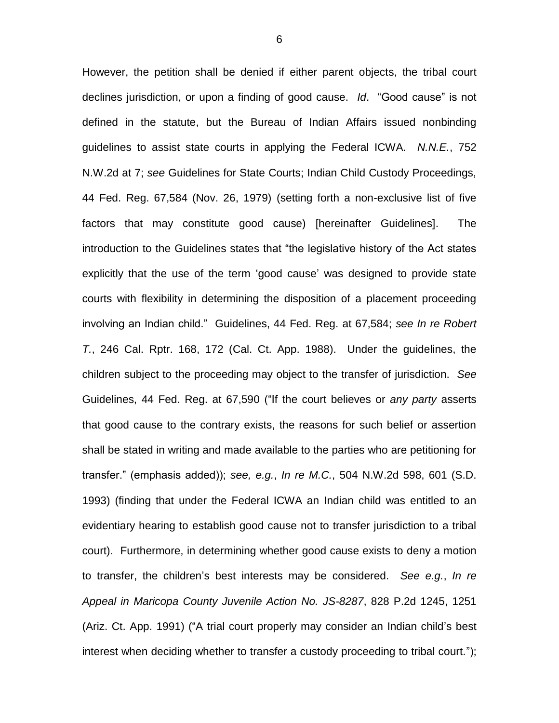However, the petition shall be denied if either parent objects, the tribal court declines jurisdiction, or upon a finding of good cause. *Id*. "Good cause" is not defined in the statute, but the Bureau of Indian Affairs issued nonbinding guidelines to assist state courts in applying the Federal ICWA. *N.N.E.*, 752 N.W.2d at 7; *see* Guidelines for State Courts; Indian Child Custody Proceedings, 44 Fed. Reg. 67,584 (Nov. 26, 1979) (setting forth a non-exclusive list of five factors that may constitute good cause) [hereinafter Guidelines]. The introduction to the Guidelines states that "the legislative history of the Act states explicitly that the use of the term "good cause" was designed to provide state courts with flexibility in determining the disposition of a placement proceeding involving an Indian child." Guidelines, 44 Fed. Reg. at 67,584; *see In re Robert T.*, 246 Cal. Rptr. 168, 172 (Cal. Ct. App. 1988). Under the guidelines, the children subject to the proceeding may object to the transfer of jurisdiction. *See*  Guidelines, 44 Fed. Reg. at 67,590 ("If the court believes or *any party* asserts that good cause to the contrary exists, the reasons for such belief or assertion shall be stated in writing and made available to the parties who are petitioning for transfer." (emphasis added)); *see, e.g.*, *In re M.C.*, 504 N.W.2d 598, 601 (S.D. 1993) (finding that under the Federal ICWA an Indian child was entitled to an evidentiary hearing to establish good cause not to transfer jurisdiction to a tribal court). Furthermore, in determining whether good cause exists to deny a motion to transfer, the children"s best interests may be considered. *See e.g.*, *In re Appeal in Maricopa County Juvenile Action No. JS-8287*, 828 P.2d 1245, 1251 (Ariz. Ct. App. 1991) ("A trial court properly may consider an Indian child"s best interest when deciding whether to transfer a custody proceeding to tribal court.");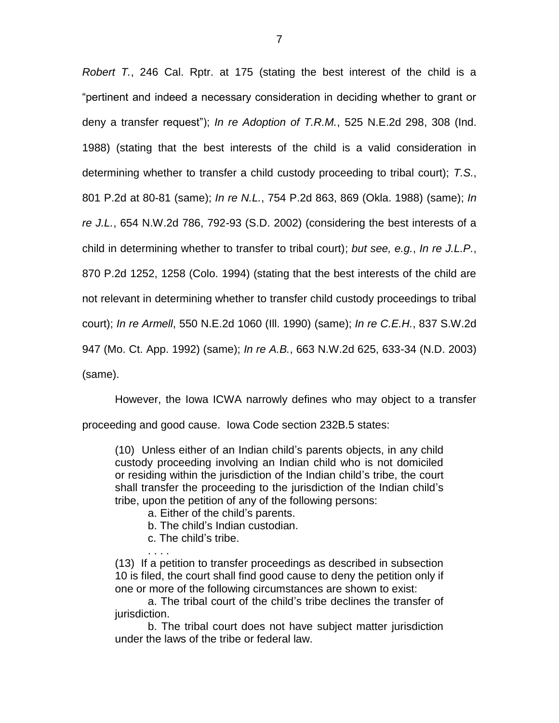*Robert T.*, 246 Cal. Rptr. at 175 (stating the best interest of the child is a "pertinent and indeed a necessary consideration in deciding whether to grant or deny a transfer request"); *In re Adoption of T.R.M.*, 525 N.E.2d 298, 308 (Ind. 1988) (stating that the best interests of the child is a valid consideration in determining whether to transfer a child custody proceeding to tribal court); *T.S.*, 801 P.2d at 80-81 (same); *In re N.L.*, 754 P.2d 863, 869 (Okla. 1988) (same); *In re J.L.*, 654 N.W.2d 786, 792-93 (S.D. 2002) (considering the best interests of a child in determining whether to transfer to tribal court); *but see, e.g.*, *In re J.L.P.*, 870 P.2d 1252, 1258 (Colo. 1994) (stating that the best interests of the child are not relevant in determining whether to transfer child custody proceedings to tribal court); *In re Armell*, 550 N.E.2d 1060 (Ill. 1990) (same); *In re C.E.H.*, 837 S.W.2d 947 (Mo. Ct. App. 1992) (same); *In re A.B.*, 663 N.W.2d 625, 633-34 (N.D. 2003) (same).

However, the Iowa ICWA narrowly defines who may object to a transfer

proceeding and good cause. Iowa Code section 232B.5 states:

(10) Unless either of an Indian child"s parents objects, in any child custody proceeding involving an Indian child who is not domiciled or residing within the jurisdiction of the Indian child"s tribe, the court shall transfer the proceeding to the jurisdiction of the Indian child"s tribe, upon the petition of any of the following persons:

- a. Either of the child"s parents.
- b. The child"s Indian custodian.
- c. The child"s tribe.
- . . . .

(13) If a petition to transfer proceedings as described in subsection 10 is filed, the court shall find good cause to deny the petition only if one or more of the following circumstances are shown to exist:

a. The tribal court of the child"s tribe declines the transfer of jurisdiction.

b. The tribal court does not have subject matter jurisdiction under the laws of the tribe or federal law.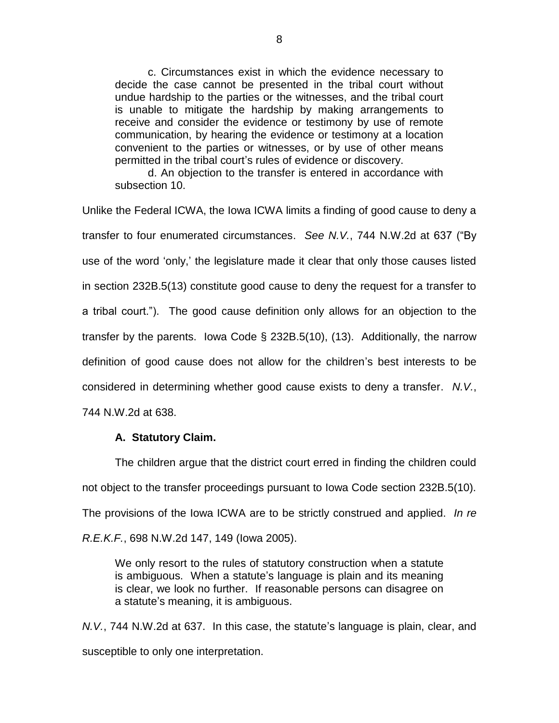c. Circumstances exist in which the evidence necessary to decide the case cannot be presented in the tribal court without undue hardship to the parties or the witnesses, and the tribal court is unable to mitigate the hardship by making arrangements to receive and consider the evidence or testimony by use of remote communication, by hearing the evidence or testimony at a location convenient to the parties or witnesses, or by use of other means permitted in the tribal court"s rules of evidence or discovery.

d. An objection to the transfer is entered in accordance with subsection 10.

Unlike the Federal ICWA, the Iowa ICWA limits a finding of good cause to deny a transfer to four enumerated circumstances. *See N.V.*, 744 N.W.2d at 637 ("By use of the word "only," the legislature made it clear that only those causes listed in section 232B.5(13) constitute good cause to deny the request for a transfer to a tribal court."). The good cause definition only allows for an objection to the transfer by the parents. Iowa Code § 232B.5(10), (13). Additionally, the narrow definition of good cause does not allow for the children"s best interests to be considered in determining whether good cause exists to deny a transfer. *N.V.*, 744 N.W.2d at 638.

# **A. Statutory Claim.**

The children argue that the district court erred in finding the children could not object to the transfer proceedings pursuant to Iowa Code section 232B.5(10). The provisions of the Iowa ICWA are to be strictly construed and applied. *In re R.E.K.F.*, 698 N.W.2d 147, 149 (Iowa 2005).

We only resort to the rules of statutory construction when a statute is ambiguous. When a statute"s language is plain and its meaning is clear, we look no further. If reasonable persons can disagree on a statute"s meaning, it is ambiguous.

*N.V.*, 744 N.W.2d at 637. In this case, the statute"s language is plain, clear, and susceptible to only one interpretation.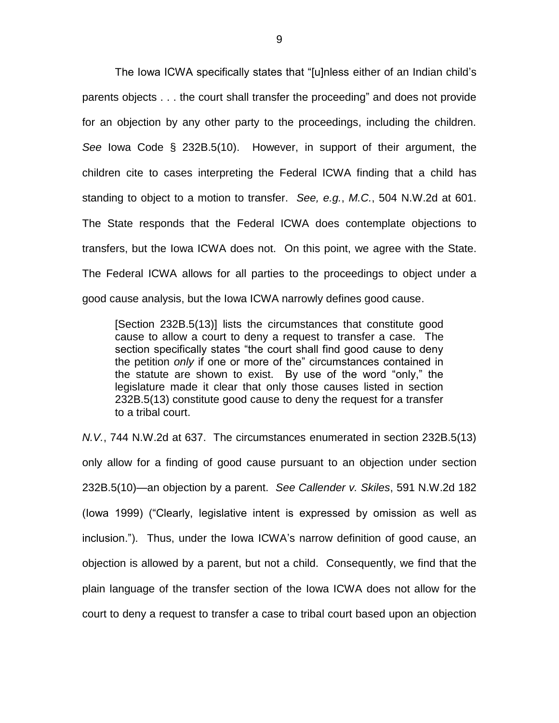The Iowa ICWA specifically states that "[u]nless either of an Indian child"s parents objects . . . the court shall transfer the proceeding" and does not provide for an objection by any other party to the proceedings, including the children. *See* Iowa Code § 232B.5(10). However, in support of their argument, the children cite to cases interpreting the Federal ICWA finding that a child has standing to object to a motion to transfer. *See, e.g.*, *M.C.*, 504 N.W.2d at 601. The State responds that the Federal ICWA does contemplate objections to transfers, but the Iowa ICWA does not. On this point, we agree with the State. The Federal ICWA allows for all parties to the proceedings to object under a good cause analysis, but the Iowa ICWA narrowly defines good cause.

[Section 232B.5(13)] lists the circumstances that constitute good cause to allow a court to deny a request to transfer a case. The section specifically states "the court shall find good cause to deny the petition *only* if one or more of the" circumstances contained in the statute are shown to exist. By use of the word "only," the legislature made it clear that only those causes listed in section 232B.5(13) constitute good cause to deny the request for a transfer to a tribal court.

*N.V.*, 744 N.W.2d at 637. The circumstances enumerated in section 232B.5(13) only allow for a finding of good cause pursuant to an objection under section 232B.5(10)—an objection by a parent. *See Callender v. Skiles*, 591 N.W.2d 182 (Iowa 1999) ("Clearly, legislative intent is expressed by omission as well as inclusion."). Thus, under the Iowa ICWA's narrow definition of good cause, an objection is allowed by a parent, but not a child. Consequently, we find that the plain language of the transfer section of the Iowa ICWA does not allow for the court to deny a request to transfer a case to tribal court based upon an objection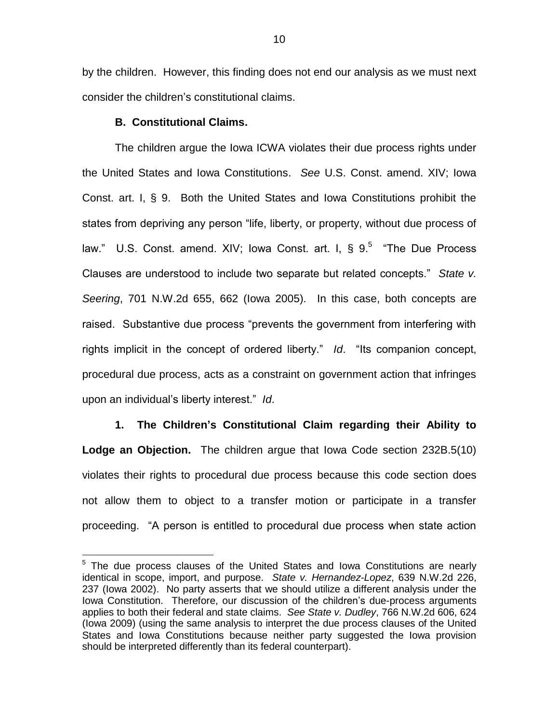by the children. However, this finding does not end our analysis as we must next consider the children"s constitutional claims.

## **B. Constitutional Claims.**

 $\overline{a}$ 

The children argue the Iowa ICWA violates their due process rights under the United States and Iowa Constitutions. *See* U.S. Const. amend. XIV; Iowa Const. art. I, § 9. Both the United States and Iowa Constitutions prohibit the states from depriving any person "life, liberty, or property, without due process of law." U.S. Const. amend. XIV; lowa Const. art. I,  $\S 9.5$  "The Due Process Clauses are understood to include two separate but related concepts." *State v. Seering*, 701 N.W.2d 655, 662 (Iowa 2005). In this case, both concepts are raised. Substantive due process "prevents the government from interfering with rights implicit in the concept of ordered liberty." *Id*. "Its companion concept, procedural due process, acts as a constraint on government action that infringes upon an individual"s liberty interest." *Id*.

**1. The Children's Constitutional Claim regarding their Ability to Lodge an Objection.** The children argue that Iowa Code section 232B.5(10) violates their rights to procedural due process because this code section does not allow them to object to a transfer motion or participate in a transfer proceeding. "A person is entitled to procedural due process when state action

 $5$  The due process clauses of the United States and Iowa Constitutions are nearly identical in scope, import, and purpose. *State v. Hernandez-Lopez*, 639 N.W.2d 226, 237 (Iowa 2002). No party asserts that we should utilize a different analysis under the Iowa Constitution. Therefore, our discussion of the children"s due-process arguments applies to both their federal and state claims. *See State v. Dudley*, 766 N.W.2d 606, 624 (Iowa 2009) (using the same analysis to interpret the due process clauses of the United States and Iowa Constitutions because neither party suggested the Iowa provision should be interpreted differently than its federal counterpart).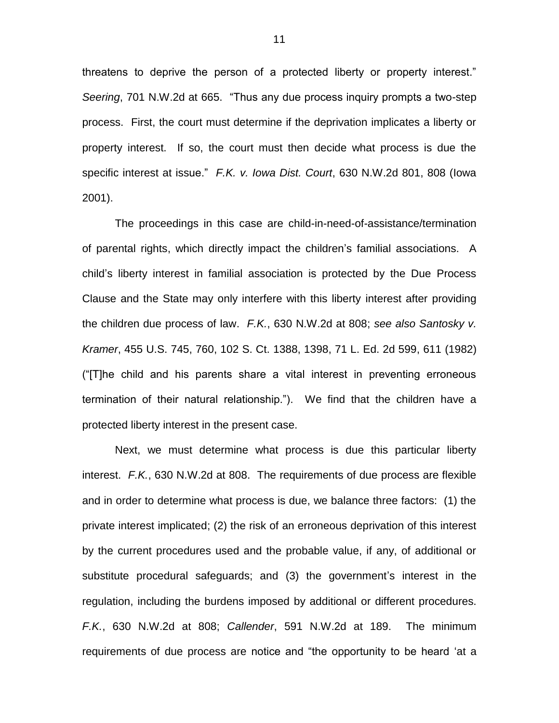threatens to deprive the person of a protected liberty or property interest." *Seering*, 701 N.W.2d at 665. "Thus any due process inquiry prompts a two-step process. First, the court must determine if the deprivation implicates a liberty or property interest. If so, the court must then decide what process is due the specific interest at issue." *F.K. v. Iowa Dist. Court*, 630 N.W.2d 801, 808 (Iowa 2001).

The proceedings in this case are child-in-need-of-assistance/termination of parental rights, which directly impact the children"s familial associations. A child"s liberty interest in familial association is protected by the Due Process Clause and the State may only interfere with this liberty interest after providing the children due process of law. *F.K.*, 630 N.W.2d at 808; *see also Santosky v. Kramer*, 455 U.S. 745, 760, 102 S. Ct. 1388, 1398, 71 L. Ed. 2d 599, 611 (1982) ("[T]he child and his parents share a vital interest in preventing erroneous termination of their natural relationship."). We find that the children have a protected liberty interest in the present case.

Next, we must determine what process is due this particular liberty interest. *F.K.*, 630 N.W.2d at 808. The requirements of due process are flexible and in order to determine what process is due, we balance three factors: (1) the private interest implicated; (2) the risk of an erroneous deprivation of this interest by the current procedures used and the probable value, if any, of additional or substitute procedural safeguards; and (3) the government's interest in the regulation, including the burdens imposed by additional or different procedures. *F.K.*, 630 N.W.2d at 808; *Callender*, 591 N.W.2d at 189. The minimum requirements of due process are notice and "the opportunity to be heard "at a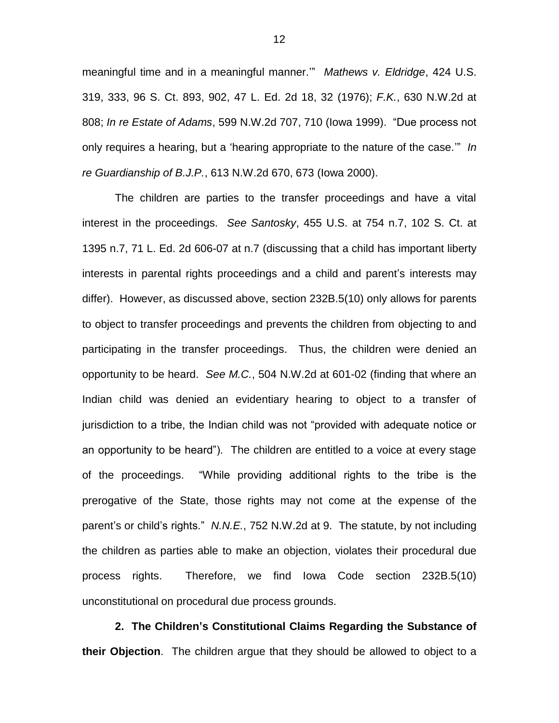meaningful time and in a meaningful manner."" *Mathews v. Eldridge*, 424 U.S. 319, 333, 96 S. Ct. 893, 902, 47 L. Ed. 2d 18, 32 (1976); *F.K.*, 630 N.W.2d at 808; *In re Estate of Adams*, 599 N.W.2d 707, 710 (Iowa 1999). "Due process not only requires a hearing, but a "hearing appropriate to the nature of the case."" *In re Guardianship of B.J.P.*, 613 N.W.2d 670, 673 (Iowa 2000).

The children are parties to the transfer proceedings and have a vital interest in the proceedings. *See Santosky*, 455 U.S. at 754 n.7, 102 S. Ct. at 1395 n.7, 71 L. Ed. 2d 606-07 at n.7 (discussing that a child has important liberty interests in parental rights proceedings and a child and parent"s interests may differ). However, as discussed above, section 232B.5(10) only allows for parents to object to transfer proceedings and prevents the children from objecting to and participating in the transfer proceedings. Thus, the children were denied an opportunity to be heard. *See M.C.*, 504 N.W.2d at 601-02 (finding that where an Indian child was denied an evidentiary hearing to object to a transfer of jurisdiction to a tribe, the Indian child was not "provided with adequate notice or an opportunity to be heard"). The children are entitled to a voice at every stage of the proceedings. "While providing additional rights to the tribe is the prerogative of the State, those rights may not come at the expense of the parent"s or child"s rights." *N.N.E.*, 752 N.W.2d at 9. The statute, by not including the children as parties able to make an objection, violates their procedural due process rights. Therefore, we find Iowa Code section 232B.5(10) unconstitutional on procedural due process grounds.

**2. The Children's Constitutional Claims Regarding the Substance of their Objection**. The children argue that they should be allowed to object to a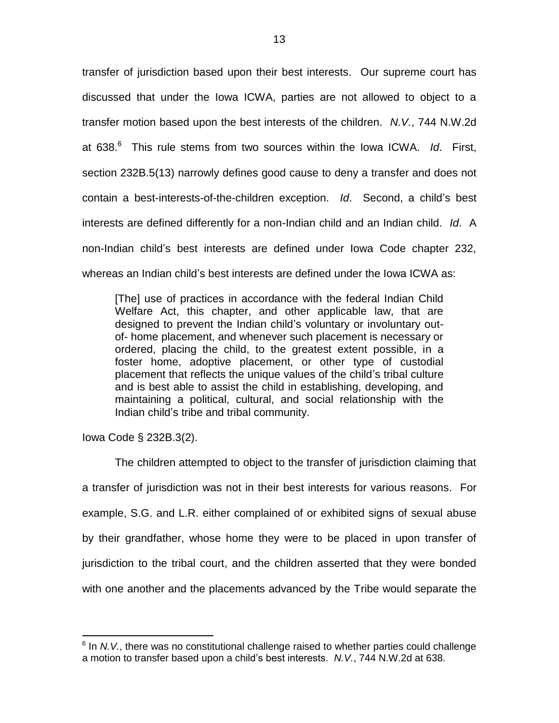transfer of jurisdiction based upon their best interests. Our supreme court has discussed that under the Iowa ICWA, parties are not allowed to object to a transfer motion based upon the best interests of the children. *N.V.*, 744 N.W.2d at 638.<sup>6</sup> This rule stems from two sources within the Iowa ICWA. Id. First, section 232B.5(13) narrowly defines good cause to deny a transfer and does not contain a best-interests-of-the-children exception. *Id*. Second, a child"s best interests are defined differently for a non-Indian child and an Indian child. *Id*. A non-Indian child"s best interests are defined under Iowa Code chapter 232, whereas an Indian child"s best interests are defined under the Iowa ICWA as:

[The] use of practices in accordance with the federal Indian Child Welfare Act, this chapter, and other applicable law, that are designed to prevent the Indian child"s voluntary or involuntary outof- home placement, and whenever such placement is necessary or ordered, placing the child, to the greatest extent possible, in a foster home, adoptive placement, or other type of custodial placement that reflects the unique values of the child"s tribal culture and is best able to assist the child in establishing, developing, and maintaining a political, cultural, and social relationship with the Indian child"s tribe and tribal community.

Iowa Code § 232B.3(2).

 $\overline{a}$ 

The children attempted to object to the transfer of jurisdiction claiming that a transfer of jurisdiction was not in their best interests for various reasons. For example, S.G. and L.R. either complained of or exhibited signs of sexual abuse by their grandfather, whose home they were to be placed in upon transfer of jurisdiction to the tribal court, and the children asserted that they were bonded with one another and the placements advanced by the Tribe would separate the

<sup>&</sup>lt;sup>6</sup> In *N.V.*, there was no constitutional challenge raised to whether parties could challenge a motion to transfer based upon a child"s best interests. *N.V.*, 744 N.W.2d at 638.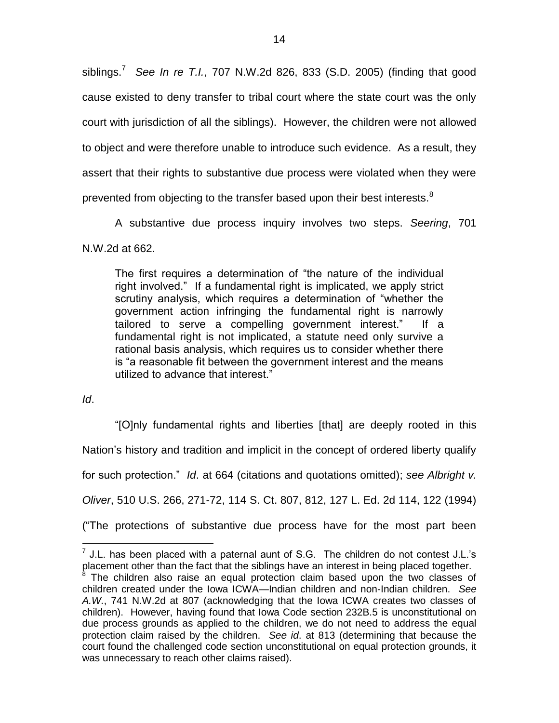siblings.<sup>7</sup> *See In re T.I.*, 707 N.W.2d 826, 833 (S.D. 2005) (finding that good cause existed to deny transfer to tribal court where the state court was the only court with jurisdiction of all the siblings). However, the children were not allowed to object and were therefore unable to introduce such evidence. As a result, they assert that their rights to substantive due process were violated when they were prevented from objecting to the transfer based upon their best interests.<sup>8</sup>

A substantive due process inquiry involves two steps. *Seering*, 701

N.W.2d at 662.

The first requires a determination of "the nature of the individual right involved." If a fundamental right is implicated, we apply strict scrutiny analysis, which requires a determination of "whether the government action infringing the fundamental right is narrowly tailored to serve a compelling government interest." If a fundamental right is not implicated, a statute need only survive a rational basis analysis, which requires us to consider whether there is "a reasonable fit between the government interest and the means utilized to advance that interest."

*Id*.

 $\overline{a}$ 

"[O]nly fundamental rights and liberties [that] are deeply rooted in this Nation"s history and tradition and implicit in the concept of ordered liberty qualify for such protection." *Id*. at 664 (citations and quotations omitted); *see Albright v. Oliver*, 510 U.S. 266, 271-72, 114 S. Ct. 807, 812, 127 L. Ed. 2d 114, 122 (1994) ("The protections of substantive due process have for the most part been

 $7$  J.L. has been placed with a paternal aunt of S.G. The children do not contest J.L.'s placement other than the fact that the siblings have an interest in being placed together.

<sup>&</sup>lt;sup>8</sup> The children also raise an equal protection claim based upon the two classes of children created under the Iowa ICWA—Indian children and non-Indian children. *See A.W.*, 741 N.W.2d at 807 (acknowledging that the Iowa ICWA creates two classes of children). However, having found that Iowa Code section 232B.5 is unconstitutional on due process grounds as applied to the children, we do not need to address the equal protection claim raised by the children. *See id*. at 813 (determining that because the court found the challenged code section unconstitutional on equal protection grounds, it was unnecessary to reach other claims raised).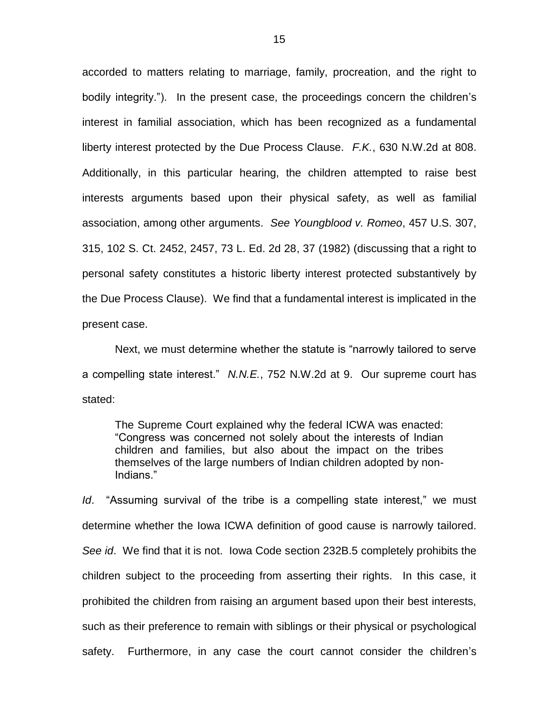accorded to matters relating to marriage, family, procreation, and the right to bodily integrity."). In the present case, the proceedings concern the children"s interest in familial association, which has been recognized as a fundamental liberty interest protected by the Due Process Clause. *F.K.*, 630 N.W.2d at 808. Additionally, in this particular hearing, the children attempted to raise best interests arguments based upon their physical safety, as well as familial association, among other arguments. *See Youngblood v. Romeo*, 457 U.S. 307, 315, 102 S. Ct. 2452, 2457, 73 L. Ed. 2d 28, 37 (1982) (discussing that a right to personal safety constitutes a historic liberty interest protected substantively by the Due Process Clause). We find that a fundamental interest is implicated in the present case.

Next, we must determine whether the statute is "narrowly tailored to serve a compelling state interest." *N.N.E.*, 752 N.W.2d at 9. Our supreme court has stated:

The Supreme Court explained why the federal ICWA was enacted: "Congress was concerned not solely about the interests of Indian children and families, but also about the impact on the tribes themselves of the large numbers of Indian children adopted by non-Indians."

*Id*. "Assuming survival of the tribe is a compelling state interest," we must determine whether the Iowa ICWA definition of good cause is narrowly tailored. *See id*. We find that it is not. Iowa Code section 232B.5 completely prohibits the children subject to the proceeding from asserting their rights. In this case, it prohibited the children from raising an argument based upon their best interests, such as their preference to remain with siblings or their physical or psychological safety. Furthermore, in any case the court cannot consider the children's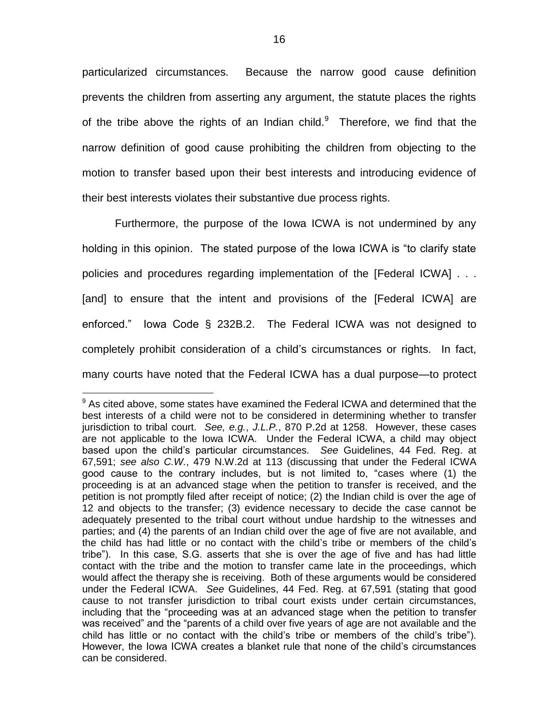particularized circumstances. Because the narrow good cause definition prevents the children from asserting any argument, the statute places the rights of the tribe above the rights of an Indian child. $9$  Therefore, we find that the narrow definition of good cause prohibiting the children from objecting to the motion to transfer based upon their best interests and introducing evidence of their best interests violates their substantive due process rights.

Furthermore, the purpose of the Iowa ICWA is not undermined by any holding in this opinion. The stated purpose of the Iowa ICWA is "to clarify state policies and procedures regarding implementation of the [Federal ICWA] . . . [and] to ensure that the intent and provisions of the [Federal ICWA] are enforced." Iowa Code § 232B.2. The Federal ICWA was not designed to completely prohibit consideration of a child"s circumstances or rights. In fact, many courts have noted that the Federal ICWA has a dual purpose—to protect

 $\overline{a}$ 

 $9$  As cited above, some states have examined the Federal ICWA and determined that the best interests of a child were not to be considered in determining whether to transfer jurisdiction to tribal court. *See, e.g.*, *J.L.P.*, 870 P.2d at 1258. However, these cases are not applicable to the Iowa ICWA. Under the Federal ICWA, a child may object based upon the child"s particular circumstances. *See* Guidelines, 44 Fed. Reg. at 67,591; *see also C.W.*, 479 N.W.2d at 113 (discussing that under the Federal ICWA good cause to the contrary includes, but is not limited to, "cases where (1) the proceeding is at an advanced stage when the petition to transfer is received, and the petition is not promptly filed after receipt of notice; (2) the Indian child is over the age of 12 and objects to the transfer; (3) evidence necessary to decide the case cannot be adequately presented to the tribal court without undue hardship to the witnesses and parties; and (4) the parents of an Indian child over the age of five are not available, and the child has had little or no contact with the child"s tribe or members of the child"s tribe"). In this case, S.G. asserts that she is over the age of five and has had little contact with the tribe and the motion to transfer came late in the proceedings, which would affect the therapy she is receiving. Both of these arguments would be considered under the Federal ICWA. *See* Guidelines, 44 Fed. Reg. at 67,591 (stating that good cause to not transfer jurisdiction to tribal court exists under certain circumstances, including that the "proceeding was at an advanced stage when the petition to transfer was received" and the "parents of a child over five years of age are not available and the child has little or no contact with the child"s tribe or members of the child"s tribe"). However, the Iowa ICWA creates a blanket rule that none of the child"s circumstances can be considered.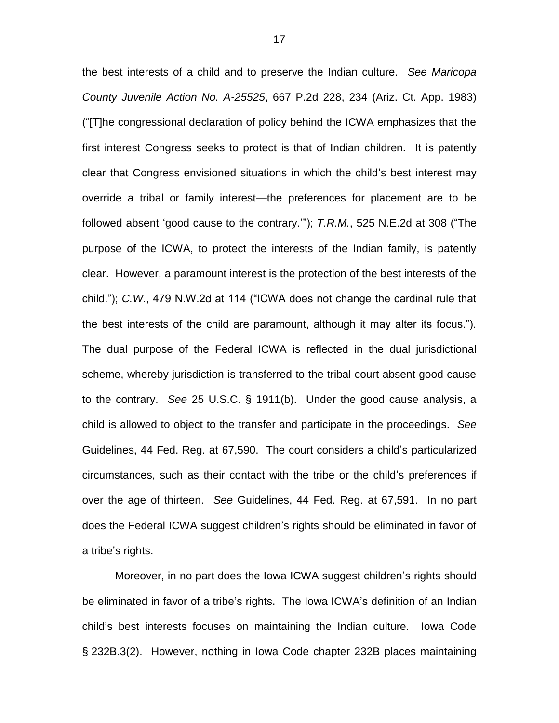the best interests of a child and to preserve the Indian culture. *See Maricopa County Juvenile Action No. A-25525*, 667 P.2d 228, 234 (Ariz. Ct. App. 1983) ("[T]he congressional declaration of policy behind the ICWA emphasizes that the first interest Congress seeks to protect is that of Indian children. It is patently clear that Congress envisioned situations in which the child"s best interest may override a tribal or family interest—the preferences for placement are to be followed absent "good cause to the contrary.""); *T.R.M.*, 525 N.E.2d at 308 ("The purpose of the ICWA, to protect the interests of the Indian family, is patently clear. However, a paramount interest is the protection of the best interests of the child."); *C.W.*, 479 N.W.2d at 114 ("ICWA does not change the cardinal rule that the best interests of the child are paramount, although it may alter its focus."). The dual purpose of the Federal ICWA is reflected in the dual jurisdictional scheme, whereby jurisdiction is transferred to the tribal court absent good cause to the contrary. *See* 25 U.S.C. § 1911(b). Under the good cause analysis, a child is allowed to object to the transfer and participate in the proceedings. *See*  Guidelines, 44 Fed. Reg. at 67,590. The court considers a child"s particularized circumstances, such as their contact with the tribe or the child"s preferences if over the age of thirteen. *See* Guidelines, 44 Fed. Reg. at 67,591. In no part does the Federal ICWA suggest children's rights should be eliminated in favor of a tribe's rights.

Moreover, in no part does the Iowa ICWA suggest children"s rights should be eliminated in favor of a tribe's rights. The Iowa ICWA's definition of an Indian child"s best interests focuses on maintaining the Indian culture. Iowa Code § 232B.3(2). However, nothing in Iowa Code chapter 232B places maintaining